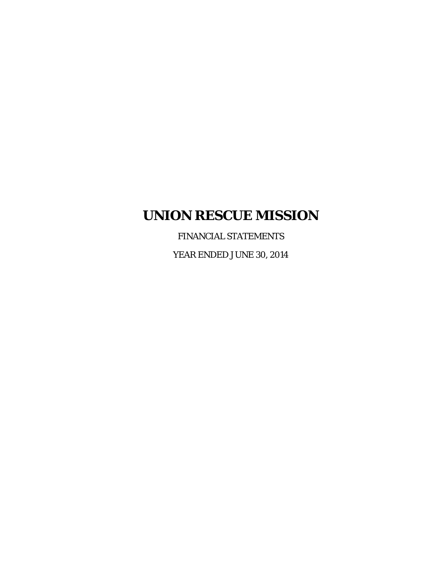FINANCIAL STATEMENTS

YEAR ENDED JUNE 30, 2014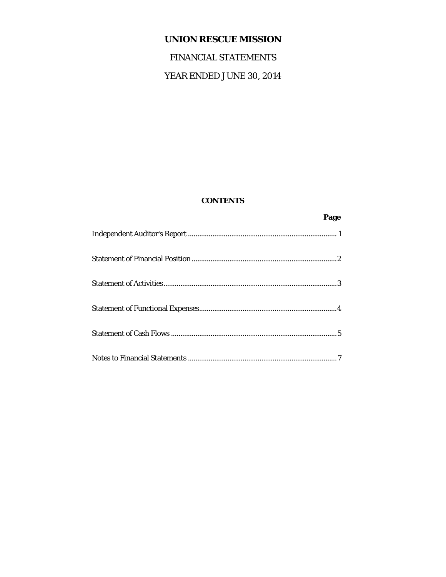# FINANCIAL STATEMENTS

# YEAR ENDED JUNE 30, 2014

# **CONTENTS**

| Page |
|------|
|      |
|      |
|      |
|      |
|      |
|      |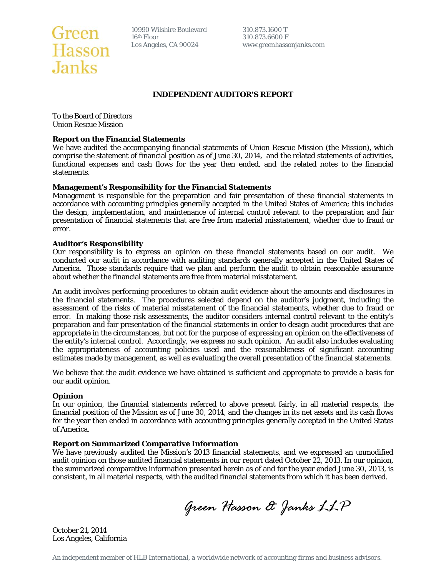

10990 Wilshire Boulevard 310.873.1600 T<br>16<sup>th</sup> Floor 310.873.6600 F

Los Angeles, CA 90024 www.greenhassonjanks.com

#### **INDEPENDENT AUDITOR'S REPORT**

To the Board of Directors Union Rescue Mission

#### **Report on the Financial Statements**

We have audited the accompanying financial statements of Union Rescue Mission (the Mission), which comprise the statement of financial position as of June 30, 2014, and the related statements of activities, functional expenses and cash flows for the year then ended, and the related notes to the financial statements.

#### **Management's Responsibility for the Financial Statements**

Management is responsible for the preparation and fair presentation of these financial statements in accordance with accounting principles generally accepted in the United States of America; this includes the design, implementation, and maintenance of internal control relevant to the preparation and fair presentation of financial statements that are free from material misstatement, whether due to fraud or error.

#### **Auditor's Responsibility**

Our responsibility is to express an opinion on these financial statements based on our audit. We conducted our audit in accordance with auditing standards generally accepted in the United States of America. Those standards require that we plan and perform the audit to obtain reasonable assurance about whether the financial statements are free from material misstatement.

An audit involves performing procedures to obtain audit evidence about the amounts and disclosures in the financial statements. The procedures selected depend on the auditor's judgment, including the assessment of the risks of material misstatement of the financial statements, whether due to fraud or error. In making those risk assessments, the auditor considers internal control relevant to the entity's preparation and fair presentation of the financial statements in order to design audit procedures that are appropriate in the circumstances, but not for the purpose of expressing an opinion on the effectiveness of the entity's internal control. Accordingly, we express no such opinion. An audit also includes evaluating the appropriateness of accounting policies used and the reasonableness of significant accounting estimates made by management, as well as evaluating the overall presentation of the financial statements.

We believe that the audit evidence we have obtained is sufficient and appropriate to provide a basis for our audit opinion.

#### **Opinion**

In our opinion, the financial statements referred to above present fairly, in all material respects, the financial position of the Mission as of June 30, 2014, and the changes in its net assets and its cash flows for the year then ended in accordance with accounting principles generally accepted in the United States of America.

#### **Report on Summarized Comparative Information**

We have previously audited the Mission's 2013 financial statements, and we expressed an unmodified audit opinion on those audited financial statements in our report dated October 22, 2013. In our opinion, the summarized comparative information presented herein as of and for the year ended June 30, 2013, is consistent, in all material respects, with the audited financial statements from which it has been derived.

*Green Hasson & Janks LLP* 

October 21, 2014 Los Angeles, California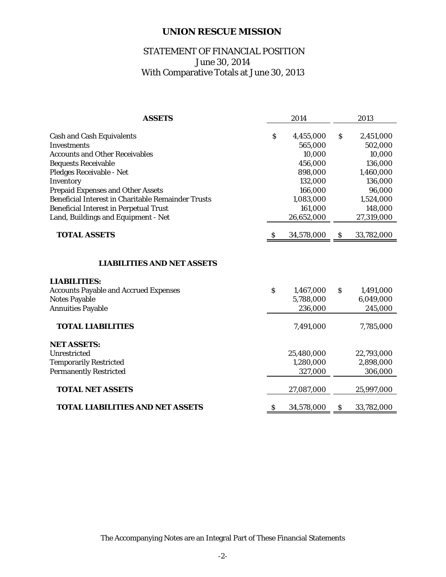# STATEMENT OF FINANCIAL POSITION June 30, 2014 With Comparative Totals at June 30, 2013

| <b>ASSETS</b>                                             |                           | 2014       |                           | 2013       |
|-----------------------------------------------------------|---------------------------|------------|---------------------------|------------|
|                                                           |                           |            |                           |            |
| <b>Cash and Cash Equivalents</b>                          | \$                        | 4,455,000  | \$                        | 2,451,000  |
| <b>Investments</b>                                        |                           | 565,000    |                           | 502,000    |
| <b>Accounts and Other Receivables</b>                     |                           | 10,000     |                           | 10,000     |
| <b>Bequests Receivable</b>                                |                           | 456,000    |                           | 136,000    |
| Pledges Receivable - Net                                  |                           | 898,000    |                           | 1,460,000  |
| Inventory                                                 |                           | 132,000    |                           | 136,000    |
| <b>Prepaid Expenses and Other Assets</b>                  |                           | 166,000    |                           | 96,000     |
| <b>Beneficial Interest in Charitable Remainder Trusts</b> |                           | 1,083,000  |                           | 1,524,000  |
| <b>Beneficial Interest in Perpetual Trust</b>             |                           | 161,000    |                           | 148,000    |
| Land, Buildings and Equipment - Net                       |                           | 26,652,000 |                           | 27,319,000 |
| <b>TOTAL ASSETS</b>                                       | S                         | 34,578,000 | <sub>S</sub>              | 33,782,000 |
| <b>LIABILITIES:</b>                                       |                           |            |                           |            |
|                                                           |                           |            |                           |            |
|                                                           |                           |            |                           |            |
| <b>Accounts Payable and Accrued Expenses</b>              | $\boldsymbol{\mathsf{S}}$ | 1,467,000  | $\boldsymbol{\mathsf{S}}$ | 1,491,000  |
| <b>Notes Payable</b>                                      |                           | 5,788,000  |                           | 6,049,000  |
| <b>Annuities Payable</b>                                  |                           | 236,000    |                           | 245,000    |
| <b>TOTAL LIABILITIES</b>                                  |                           | 7,491,000  |                           | 7,785,000  |
| <b>NET ASSETS:</b>                                        |                           |            |                           |            |
| Unrestricted                                              |                           | 25,480,000 |                           | 22,793,000 |
| <b>Temporarily Restricted</b>                             |                           | 1,280,000  |                           | 2,898,000  |
| <b>Permanently Restricted</b>                             |                           | 327,000    |                           | 306,000    |
| <b>TOTAL NET ASSETS</b>                                   |                           | 27,087,000 |                           | 25,997,000 |
| TOTAL LIABILITIES AND NET ASSETS                          | \$                        | 34,578,000 | \$                        | 33,782,000 |

The Accompanying Notes are an Integral Part of These Financial Statements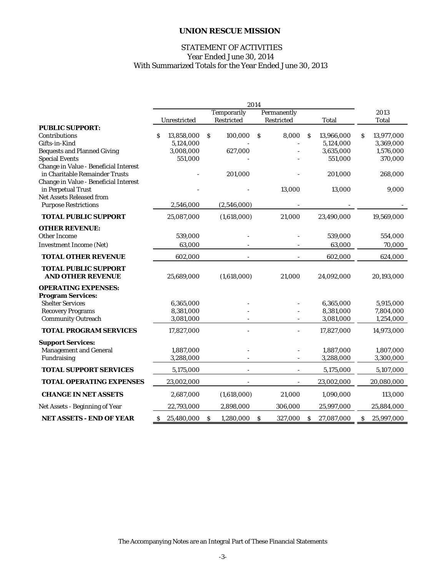### STATEMENT OF ACTIVITIES Year Ended June 30, 2014 With Summarized Totals for the Year Ended June 30, 2013

|                                                                         |                 |                    | 2014                    |                 |                   |
|-------------------------------------------------------------------------|-----------------|--------------------|-------------------------|-----------------|-------------------|
|                                                                         |                 | <b>Temporarily</b> | Permanently             |                 | 2013              |
| <b>PUBLIC SUPPORT:</b>                                                  | Unrestricted    | Restricted         | Restricted              | <b>Total</b>    | <b>Total</b>      |
| Contributions                                                           | 13,858,000      | 100,000<br>S       | 8,000<br>S              | 13,966,000<br>S | 13,977,000<br>\$. |
| Gifts-in-Kind                                                           | 5,124,000       |                    |                         | 5,124,000       | 3,369,000         |
| <b>Bequests and Planned Giving</b>                                      | 3,008,000       | 627,000            |                         | 3,635,000       | 1,576,000         |
| <b>Special Events</b>                                                   | 551,000         |                    |                         | 551,000         | 370,000           |
| Change in Value - Beneficial Interest<br>in Charitable Remainder Trusts |                 | 201,000            |                         | 201,000         | 268,000           |
| Change in Value - Beneficial Interest                                   |                 |                    |                         |                 |                   |
| in Perpetual Trust                                                      |                 |                    | 13,000                  | 13,000          | 9,000             |
| <b>Net Assets Released from</b>                                         |                 |                    |                         |                 |                   |
| <b>Purpose Restrictions</b>                                             | 2,546,000       | (2,546,000)        |                         |                 |                   |
| <b>TOTAL PUBLIC SUPPORT</b>                                             | 25,087,000      | (1,618,000)        | 21,000                  | 23,490,000      | 19,569,000        |
| <b>OTHER REVENUE:</b>                                                   |                 |                    |                         |                 |                   |
| <b>Other Income</b>                                                     | 539,000         |                    |                         | 539,000         | 554,000           |
| <b>Investment Income (Net)</b>                                          | 63,000          |                    |                         | 63,000          | 70,000            |
| <b>TOTAL OTHER REVENUE</b>                                              | 602,000         |                    |                         | 602,000         | 624,000           |
| <b>TOTAL PUBLIC SUPPORT</b><br><b>AND OTHER REVENUE</b>                 | 25,689,000      | (1,618,000)        | 21,000                  | 24,092,000      | 20,193,000        |
| <b>OPERATING EXPENSES:</b>                                              |                 |                    |                         |                 |                   |
| <b>Program Services:</b>                                                |                 |                    |                         |                 |                   |
| <b>Shelter Services</b>                                                 | 6,365,000       |                    |                         | 6,365,000       | 5,915,000         |
| <b>Recovery Programs</b>                                                | 8,381,000       |                    |                         | 8,381,000       | 7,804,000         |
| <b>Community Outreach</b>                                               | 3,081,000       |                    |                         | 3,081,000       | 1,254,000         |
| TOTAL PROGRAM SERVICES                                                  | 17,827,000      |                    |                         | 17,827,000      | 14,973,000        |
| <b>Support Services:</b>                                                |                 |                    |                         |                 |                   |
| <b>Management and General</b>                                           | 1,887,000       |                    |                         | 1,887,000       | 1,807,000         |
| Fundraising                                                             | 3,288,000       |                    |                         | 3,288,000       | 3,300,000         |
| <b>TOTAL SUPPORT SERVICES</b>                                           | 5,175,000       | $\overline{a}$     |                         | 5,175,000       | 5,107,000         |
| <b>TOTAL OPERATING EXPENSES</b>                                         | 23,002,000      |                    |                         | 23,002,000      | 20,080,000        |
| <b>CHANGE IN NET ASSETS</b>                                             | 2,687,000       | (1,618,000)        | 21,000                  | 1,090,000       | 113,000           |
| Net Assets - Beginning of Year                                          | 22,793,000      | 2,898,000          | 306,000                 | 25,997,000      | 25,884,000        |
| <b>NET ASSETS - END OF YEAR</b>                                         | 25,480,000<br>S | S<br>1,280,000     | <sub>S</sub><br>327,000 | 27,087,000<br>S | \$.<br>25,997,000 |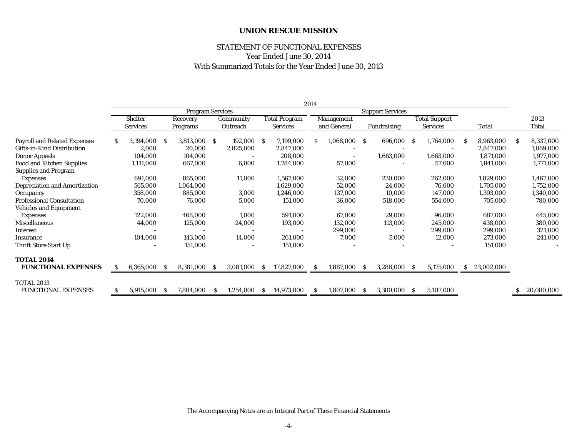# STATEMENT OF FUNCTIONAL EXPENSES Year Ended June 30, 2014 With Summarized Totals for the Year Ended June 30, 2013

|                                                 |   |                 |     |                         |              |              |    |                      | 2014         |                          |    |                         |    |                      |              |            |   |            |
|-------------------------------------------------|---|-----------------|-----|-------------------------|--------------|--------------|----|----------------------|--------------|--------------------------|----|-------------------------|----|----------------------|--------------|------------|---|------------|
|                                                 |   |                 |     | <b>Program Services</b> |              |              |    |                      |              |                          |    | <b>Support Services</b> |    |                      |              |            |   |            |
|                                                 |   | <b>Shelter</b>  |     | Recovery                |              | Community    |    | <b>Total Program</b> |              | Management               |    |                         |    | <b>Total Support</b> |              |            |   | 2013       |
|                                                 |   | <b>Services</b> |     | Programs                |              | Outreach     |    | <b>Services</b>      |              | and General              |    | Fundraising             |    | <b>Services</b>      |              | Total      |   | Total      |
| <b>Payroll and Related Expenses</b>             | S | 3,194,000       | -S  | 3,813,000               | <sub>S</sub> | 192,000 \$   |    | 7,199,000            | S            | 1,068,000 \$             |    | 696,000                 | -S | 1,764,000            | -S           | 8,963,000  | S | 8,337,000  |
| Gifts-in-Kind Distribution                      |   | 2,000           |     | 20,000                  |              | 2,825,000    |    | 2,847,000            |              |                          |    |                         |    |                      |              | 2,847,000  |   | 1,069,000  |
| Donor Appeals                                   |   | 104,000         |     | 104,000                 |              |              |    | 208,000              |              | $\overline{\phantom{a}}$ |    | 1,663,000               |    | 1,663,000            |              | 1,871,000  |   | 1,977,000  |
| <b>Food and Kitchen Supplies</b>                |   | 1,111,000       |     | 667,000                 |              | 6,000        |    | 1,784,000            |              | 57,000                   |    |                         |    | 57,000               |              | 1,841,000  |   | 1,771,000  |
| <b>Supplies and Program</b>                     |   |                 |     |                         |              |              |    |                      |              |                          |    |                         |    |                      |              |            |   |            |
| <b>Expenses</b>                                 |   | 691,000         |     | 865,000                 |              | 11,000       |    | 1,567,000            |              | 32,000                   |    | 230,000                 |    | 262,000              |              | 1,829,000  |   | 1,467,000  |
| <b>Depreciation and Amortization</b>            |   | 565,000         |     | 1,064,000               |              |              |    | 1,629,000            |              | 52,000                   |    | 24,000                  |    | 76,000               |              | 1,705,000  |   | 1,752,000  |
| Occupancy                                       |   | 358,000         |     | 885,000                 |              | 3,000        |    | 1,246,000            |              | 137,000                  |    | 10,000                  |    | 147,000              |              | 1,393,000  |   | 1,340,000  |
| <b>Professional Consultation</b>                |   | 70,000          |     | 76,000                  |              | 5,000        |    | 151,000              |              | 36,000                   |    | 518,000                 |    | 554,000              |              | 705,000    |   | 780,000    |
| <b>Vehicles and Equipment</b>                   |   |                 |     |                         |              |              |    |                      |              |                          |    |                         |    |                      |              |            |   |            |
| <b>Expenses</b>                                 |   | 122,000         |     | 468,000                 |              | 1,000        |    | 591,000              |              | 67,000                   |    | 29,000                  |    | 96,000               |              | 687,000    |   | 645,000    |
| <b>Miscellaneous</b>                            |   | 44,000          |     | 125,000                 |              | 24,000       |    | 193,000              |              | 132,000                  |    | 113,000                 |    | 245,000              |              | 438,000    |   | 380,000    |
| <b>Interest</b>                                 |   |                 |     |                         |              |              |    |                      |              | 299,000                  |    |                         |    | 299,000              |              | 299,000    |   | 321,000    |
| Insurance                                       |   | 104,000         |     | 143,000                 |              | 14,000       |    | 261,000              |              | 7,000                    |    | 5,000                   |    | 12,000               |              | 273,000    |   | 241,000    |
| Thrift Store Start Up                           |   |                 |     | 151,000                 |              |              |    | 151,000              |              |                          |    |                         |    |                      |              | 151,000    |   |            |
| <b>TOTAL 2014</b>                               |   |                 |     |                         |              |              |    |                      |              |                          |    |                         |    |                      |              |            |   |            |
| <b>FUNCTIONAL EXPENSES</b>                      | S | 6,365,000       | - S | 8,381,000               | -S           | 3,081,000 \$ |    | 17,827,000           | <sub>S</sub> | 1,887,000 \$             |    | 3,288,000               | -S | 5,175,000            | <sub>S</sub> | 23,002,000 |   |            |
|                                                 |   |                 |     |                         |              |              |    |                      |              |                          |    |                         |    |                      |              |            |   |            |
| <b>TOTAL 2013</b><br><b>FUNCTIONAL EXPENSES</b> |   | 5,915,000       | -S  | 7,804,000               | <b>S</b>     | 1,254,000    | -S | 14,973,000           | S            | 1,807,000                | -S | 3,300,000               | -S | 5,107,000            |              |            | S | 20,080,000 |

The Accompanying Notes are an Integral Part of These Financial Statements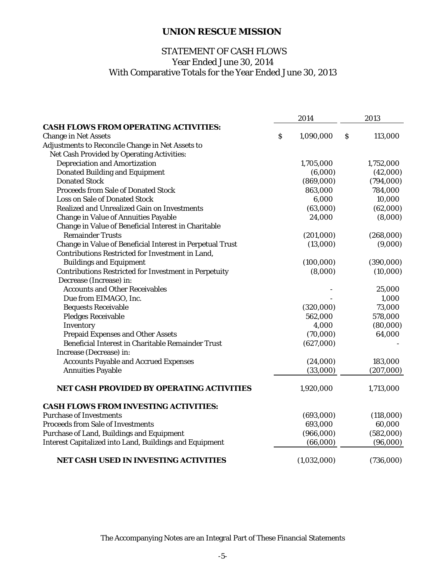# With Comparative Totals for the Year Ended June 30, 2013 STATEMENT OF CASH FLOWS Year Ended June 30, 2014

|                                                                | 2014            |   | 2013      |
|----------------------------------------------------------------|-----------------|---|-----------|
| <b>CASH FLOWS FROM OPERATING ACTIVITIES:</b>                   |                 |   |           |
| <b>Change in Net Assets</b>                                    | \$<br>1,090,000 | S | 113,000   |
| Adjustments to Reconcile Change in Net Assets to               |                 |   |           |
| Net Cash Provided by Operating Activities:                     |                 |   |           |
| <b>Depreciation and Amortization</b>                           | 1,705,000       |   | 1,752,000 |
| <b>Donated Building and Equipment</b>                          | (6,000)         |   | (42,000)  |
| <b>Donated Stock</b>                                           | (869,000)       |   | (794,000) |
| <b>Proceeds from Sale of Donated Stock</b>                     | 863,000         |   | 784,000   |
| <b>Loss on Sale of Donated Stock</b>                           | 6,000           |   | 10,000    |
| <b>Realized and Unrealized Gain on Investments</b>             | (63,000)        |   | (62,000)  |
| <b>Change in Value of Annuities Payable</b>                    | 24,000          |   | (8,000)   |
| Change in Value of Beneficial Interest in Charitable           |                 |   |           |
| <b>Remainder Trusts</b>                                        | (201,000)       |   | (268,000) |
| Change in Value of Beneficial Interest in Perpetual Trust      | (13,000)        |   | (9,000)   |
| Contributions Restricted for Investment in Land,               |                 |   |           |
| <b>Buildings and Equipment</b>                                 | (100,000)       |   | (390,000) |
| <b>Contributions Restricted for Investment in Perpetuity</b>   | (8,000)         |   | (10,000)  |
| Decrease (Increase) in:                                        |                 |   |           |
| <b>Accounts and Other Receivables</b>                          |                 |   | 25,000    |
| Due from EIMAGO, Inc.                                          |                 |   | 1,000     |
| <b>Bequests Receivable</b>                                     | (320,000)       |   | 73,000    |
| <b>Pledges Receivable</b>                                      | 562,000         |   | 578,000   |
| Inventory                                                      | 4,000           |   | (80,000)  |
| <b>Prepaid Expenses and Other Assets</b>                       | (70,000)        |   | 64,000    |
| Beneficial Interest in Charitable Remainder Trust              | (627,000)       |   |           |
| Increase (Decrease) in:                                        |                 |   |           |
| <b>Accounts Payable and Accrued Expenses</b>                   | (24,000)        |   | 183,000   |
| <b>Annuities Payable</b>                                       | (33,000)        |   | (207,000) |
| <b>NET CASH PROVIDED BY OPERATING ACTIVITIES</b>               | 1,920,000       |   | 1,713,000 |
| <b>CASH FLOWS FROM INVESTING ACTIVITIES:</b>                   |                 |   |           |
| <b>Purchase of Investments</b>                                 | (693,000)       |   | (118,000) |
| <b>Proceeds from Sale of Investments</b>                       | 693,000         |   | 60,000    |
| Purchase of Land, Buildings and Equipment                      | (966,000)       |   | (582,000) |
| <b>Interest Capitalized into Land, Buildings and Equipment</b> | (66,000)        |   | (96,000)  |
| <b>NET CASH USED IN INVESTING ACTIVITIES</b>                   | (1,032,000)     |   | (736,000) |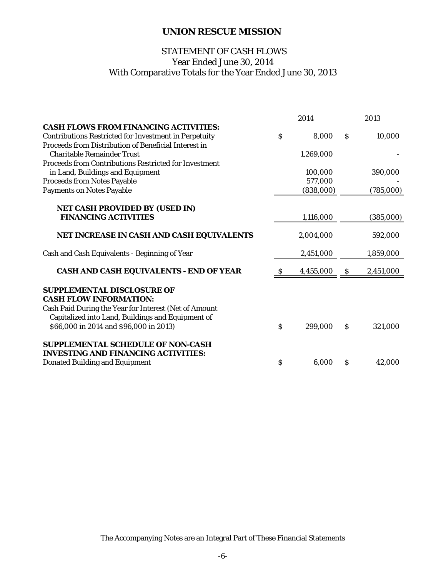# With Comparative Totals for the Year Ended June 30, 2013 STATEMENT OF CASH FLOWS Year Ended June 30, 2014

|                                                              |               | 2014      |    | 2013      |
|--------------------------------------------------------------|---------------|-----------|----|-----------|
| <b>CASH FLOWS FROM FINANCING ACTIVITIES:</b>                 |               |           |    |           |
| <b>Contributions Restricted for Investment in Perpetuity</b> | $\mathcal{S}$ | 8,000     | \$ | 10,000    |
| Proceeds from Distribution of Beneficial Interest in         |               |           |    |           |
| <b>Charitable Remainder Trust</b>                            |               | 1,269,000 |    |           |
| <b>Proceeds from Contributions Restricted for Investment</b> |               |           |    |           |
| in Land, Buildings and Equipment                             |               | 100,000   |    | 390,000   |
| <b>Proceeds from Notes Payable</b>                           |               | 577,000   |    |           |
| <b>Payments on Notes Payable</b>                             |               | (838,000) |    | (785,000) |
| <b>NET CASH PROVIDED BY (USED IN)</b>                        |               |           |    |           |
| <b>FINANCING ACTIVITIES</b>                                  |               | 1,116,000 |    | (385,000) |
|                                                              |               |           |    |           |
| NET INCREASE IN CASH AND CASH EQUIVALENTS                    |               | 2,004,000 |    | 592,000   |
| Cash and Cash Equivalents - Beginning of Year                |               | 2,451,000 |    | 1,859,000 |
| <b>CASH AND CASH EQUIVALENTS - END OF YEAR</b>               | \$            | 4,455,000 | S  | 2,451,000 |
| <b>SUPPLEMENTAL DISCLOSURE OF</b>                            |               |           |    |           |
| <b>CASH FLOW INFORMATION:</b>                                |               |           |    |           |
| Cash Paid During the Year for Interest (Net of Amount        |               |           |    |           |
| Capitalized into Land, Buildings and Equipment of            |               |           |    |           |
| \$66,000 in 2014 and \$96,000 in 2013)                       | \$            | 299,000   | \$ | 321,000   |
| <b>SUPPLEMENTAL SCHEDULE OF NON-CASH</b>                     |               |           |    |           |
| <b>INVESTING AND FINANCING ACTIVITIES:</b>                   |               |           |    |           |
| <b>Donated Building and Equipment</b>                        | $\mathbf S$   | 6,000     | S  | 42,000    |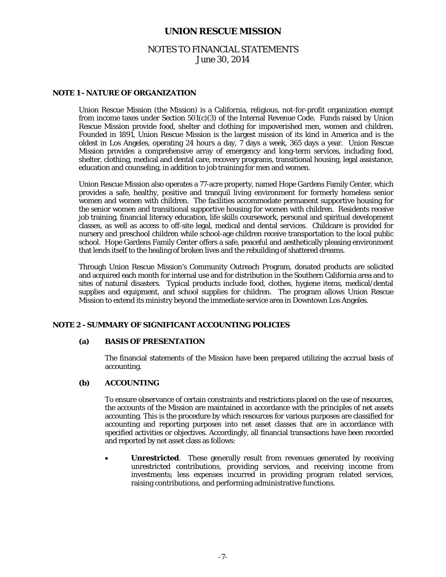# NOTES TO FINANCIAL STATEMENTS June 30, 2014

#### **NOTE 1 - NATURE OF ORGANIZATION**

Union Rescue Mission (the Mission) is a California, religious, not-for-profit organization exempt from income taxes under Section  $501(c)(3)$  of the Internal Revenue Code. Funds raised by Union Rescue Mission provide food, shelter and clothing for impoverished men, women and children. Founded in 1891, Union Rescue Mission is the largest mission of its kind in America and is the oldest in Los Angeles, operating 24 hours a day, 7 days a week, 365 days a year. Union Rescue Mission provides a comprehensive array of emergency and long-term services, including food, shelter, clothing, medical and dental care, recovery programs, transitional housing, legal assistance, education and counseling, in addition to job training for men and women.

Union Rescue Mission also operates a 77-acre property, named Hope Gardens Family Center, which provides a safe, healthy, positive and tranquil living environment for formerly homeless senior women and women with children. The facilities accommodate permanent supportive housing for the senior women and transitional supportive housing for women with children. Residents receive job training, financial literacy education, life skills coursework, personal and spiritual development classes, as well as access to off-site legal, medical and dental services. Childcare is provided for nursery and preschool children while school-age children receive transportation to the local public school. Hope Gardens Family Center offers a safe, peaceful and aesthetically pleasing environment that lends itself to the healing of broken lives and the rebuilding of shattered dreams.

Through Union Rescue Mission's Community Outreach Program, donated products are solicited and acquired each month for internal use and for distribution in the Southern California area and to sites of natural disasters. Typical products include food, clothes, hygiene items, medical/dental supplies and equipment, and school supplies for children. The program allows Union Rescue Mission to extend its ministry beyond the immediate service area in Downtown Los Angeles.

#### **NOTE 2 - SUMMARY OF SIGNIFICANT ACCOUNTING POLICIES**

#### **(a) BASIS OF PRESENTATION**

The financial statements of the Mission have been prepared utilizing the accrual basis of accounting.

#### **(b) ACCOUNTING**

To ensure observance of certain constraints and restrictions placed on the use of resources, the accounts of the Mission are maintained in accordance with the principles of net assets accounting. This is the procedure by which resources for various purposes are classified for accounting and reporting purposes into net asset classes that are in accordance with specified activities or objectives. Accordingly, all financial transactions have been recorded and reported by net asset class as follows:

 **Unrestricted**. These generally result from revenues generated by receiving unrestricted contributions, providing services, and receiving income from investments; less expenses incurred in providing program related services, raising contributions, and performing administrative functions.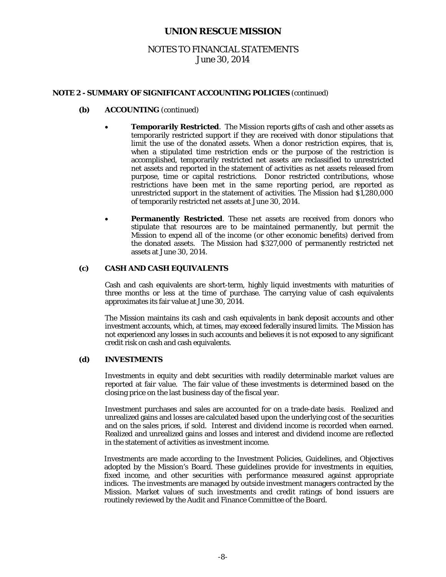# NOTES TO FINANCIAL STATEMENTS June 30, 2014

#### **NOTE 2 - SUMMARY OF SIGNIFICANT ACCOUNTING POLICIES** (continued)

- **(b) ACCOUNTING** (continued)
	- **Temporarily Restricted**. The Mission reports gifts of cash and other assets as temporarily restricted support if they are received with donor stipulations that limit the use of the donated assets. When a donor restriction expires, that is, when a stipulated time restriction ends or the purpose of the restriction is accomplished, temporarily restricted net assets are reclassified to unrestricted net assets and reported in the statement of activities as net assets released from purpose, time or capital restrictions. Donor restricted contributions, whose restrictions have been met in the same reporting period, are reported as unrestricted support in the statement of activities. The Mission had \$1,280,000 of temporarily restricted net assets at June 30, 2014.
	- **Permanently Restricted**. These net assets are received from donors who stipulate that resources are to be maintained permanently, but permit the Mission to expend all of the income (or other economic benefits) derived from the donated assets. The Mission had \$327,000 of permanently restricted net assets at June 30, 2014.

### **(c) CASH AND CASH EQUIVALENTS**

Cash and cash equivalents are short-term, highly liquid investments with maturities of three months or less at the time of purchase. The carrying value of cash equivalents approximates its fair value at June 30, 2014.

The Mission maintains its cash and cash equivalents in bank deposit accounts and other investment accounts, which, at times, may exceed federally insured limits. The Mission has not experienced any losses in such accounts and believes it is not exposed to any significant credit risk on cash and cash equivalents.

#### **(d) INVESTMENTS**

Investments in equity and debt securities with readily determinable market values are reported at fair value. The fair value of these investments is determined based on the closing price on the last business day of the fiscal year.

Investment purchases and sales are accounted for on a trade-date basis. Realized and unrealized gains and losses are calculated based upon the underlying cost of the securities and on the sales prices, if sold. Interest and dividend income is recorded when earned. Realized and unrealized gains and losses and interest and dividend income are reflected in the statement of activities as investment income.

Investments are made according to the Investment Policies, Guidelines, and Objectives adopted by the Mission's Board. These guidelines provide for investments in equities, fixed income, and other securities with performance measured against appropriate indices. The investments are managed by outside investment managers contracted by the Mission. Market values of such investments and credit ratings of bond issuers are routinely reviewed by the Audit and Finance Committee of the Board.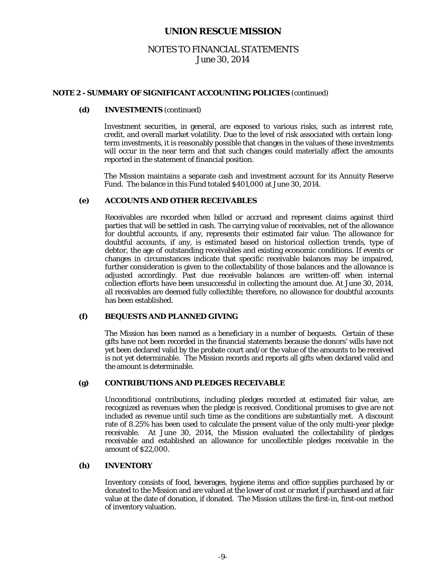# NOTES TO FINANCIAL STATEMENTS June 30, 2014

#### **NOTE 2 - SUMMARY OF SIGNIFICANT ACCOUNTING POLICIES** (continued)

#### **(d) INVESTMENTS** (continued)

Investment securities, in general, are exposed to various risks, such as interest rate, credit, and overall market volatility. Due to the level of risk associated with certain longterm investments, it is reasonably possible that changes in the values of these investments will occur in the near term and that such changes could materially affect the amounts reported in the statement of financial position.

The Mission maintains a separate cash and investment account for its Annuity Reserve Fund. The balance in this Fund totaled \$401,000 at June 30, 2014.

#### **(e) ACCOUNTS AND OTHER RECEIVABLES**

Receivables are recorded when billed or accrued and represent claims against third parties that will be settled in cash. The carrying value of receivables, net of the allowance for doubtful accounts, if any, represents their estimated fair value. The allowance for doubtful accounts, if any, is estimated based on historical collection trends, type of debtor, the age of outstanding receivables and existing economic conditions. If events or changes in circumstances indicate that specific receivable balances may be impaired, further consideration is given to the collectability of those balances and the allowance is adjusted accordingly. Past due receivable balances are written-off when internal collection efforts have been unsuccessful in collecting the amount due. At June 30, 2014, all receivables are deemed fully collectible; therefore, no allowance for doubtful accounts has been established.

### **(f) BEQUESTS AND PLANNED GIVING**

The Mission has been named as a beneficiary in a number of bequests. Certain of these gifts have not been recorded in the financial statements because the donors' wills have not yet been declared valid by the probate court and/or the value of the amounts to be received is not yet determinable. The Mission records and reports all gifts when declared valid and the amount is determinable.

#### **(g) CONTRIBUTIONS AND PLEDGES RECEIVABLE**

Unconditional contributions, including pledges recorded at estimated fair value, are recognized as revenues when the pledge is received. Conditional promises to give are not included as revenue until such time as the conditions are substantially met. A discount rate of 8.25% has been used to calculate the present value of the only multi-year pledge receivable. At June 30, 2014, the Mission evaluated the collectability of pledges receivable and established an allowance for uncollectible pledges receivable in the amount of \$22,000.

#### **(h) INVENTORY**

Inventory consists of food, beverages, hygiene items and office supplies purchased by or donated to the Mission and are valued at the lower of cost or market if purchased and at fair value at the date of donation, if donated. The Mission utilizes the first-in, first-out method of inventory valuation.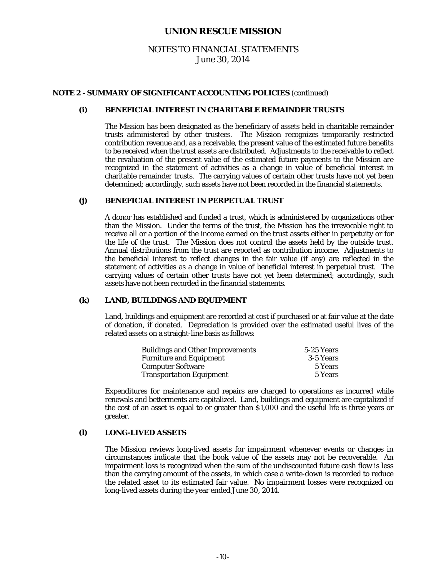# NOTES TO FINANCIAL STATEMENTS June 30, 2014

#### **NOTE 2 - SUMMARY OF SIGNIFICANT ACCOUNTING POLICIES** (continued)

#### **(i) BENEFICIAL INTEREST IN CHARITABLE REMAINDER TRUSTS**

The Mission has been designated as the beneficiary of assets held in charitable remainder trusts administered by other trustees. The Mission recognizes temporarily restricted contribution revenue and, as a receivable, the present value of the estimated future benefits to be received when the trust assets are distributed. Adjustments to the receivable to reflect the revaluation of the present value of the estimated future payments to the Mission are recognized in the statement of activities as a change in value of beneficial interest in charitable remainder trusts. The carrying values of certain other trusts have not yet been determined; accordingly, such assets have not been recorded in the financial statements.

#### **(j) BENEFICIAL INTEREST IN PERPETUAL TRUST**

A donor has established and funded a trust, which is administered by organizations other than the Mission. Under the terms of the trust, the Mission has the irrevocable right to receive all or a portion of the income earned on the trust assets either in perpetuity or for the life of the trust. The Mission does not control the assets held by the outside trust. Annual distributions from the trust are reported as contribution income. Adjustments to the beneficial interest to reflect changes in the fair value (if any) are reflected in the statement of activities as a change in value of beneficial interest in perpetual trust. The carrying values of certain other trusts have not yet been determined; accordingly, such assets have not been recorded in the financial statements.

#### **(k) LAND, BUILDINGS AND EQUIPMENT**

Land, buildings and equipment are recorded at cost if purchased or at fair value at the date of donation, if donated. Depreciation is provided over the estimated useful lives of the related assets on a straight-line basis as follows:

| <b>Buildings and Other Improvements</b> | 5-25 Years |
|-----------------------------------------|------------|
| <b>Furniture and Equipment</b>          | 3-5 Years  |
| <b>Computer Software</b>                | 5 Years    |
| <b>Transportation Equipment</b>         | 5 Years    |

Expenditures for maintenance and repairs are charged to operations as incurred while renewals and betterments are capitalized. Land, buildings and equipment are capitalized if the cost of an asset is equal to or greater than \$1,000 and the useful life is three years or greater.

#### **(l) LONG-LIVED ASSETS**

The Mission reviews long-lived assets for impairment whenever events or changes in circumstances indicate that the book value of the assets may not be recoverable. An impairment loss is recognized when the sum of the undiscounted future cash flow is less than the carrying amount of the assets, in which case a write-down is recorded to reduce the related asset to its estimated fair value. No impairment losses were recognized on long-lived assets during the year ended June 30, 2014.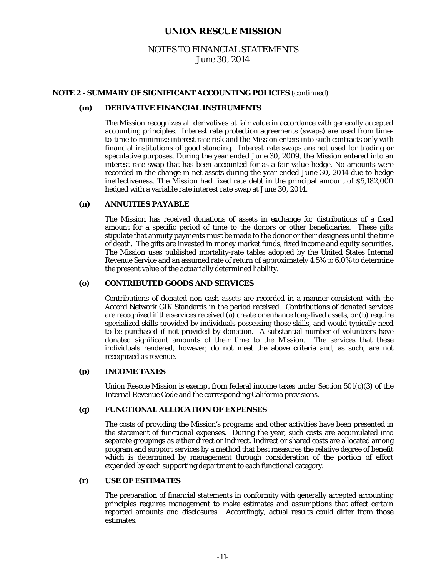# NOTES TO FINANCIAL STATEMENTS June 30, 2014

#### **NOTE 2 - SUMMARY OF SIGNIFICANT ACCOUNTING POLICIES** (continued)

### **(m) DERIVATIVE FINANCIAL INSTRUMENTS**

The Mission recognizes all derivatives at fair value in accordance with generally accepted accounting principles. Interest rate protection agreements (swaps) are used from timeto-time to minimize interest rate risk and the Mission enters into such contracts only with financial institutions of good standing. Interest rate swaps are not used for trading or speculative purposes. During the year ended June 30, 2009, the Mission entered into an interest rate swap that has been accounted for as a fair value hedge. No amounts were recorded in the change in net assets during the year ended June 30, 2014 due to hedge ineffectiveness. The Mission had fixed rate debt in the principal amount of \$5,182,000 hedged with a variable rate interest rate swap at June 30, 2014.

#### **(n) ANNUITIES PAYABLE**

The Mission has received donations of assets in exchange for distributions of a fixed amount for a specific period of time to the donors or other beneficiaries. These gifts stipulate that annuity payments must be made to the donor or their designees until the time of death. The gifts are invested in money market funds, fixed income and equity securities. The Mission uses published mortality-rate tables adopted by the United States Internal Revenue Service and an assumed rate of return of approximately 4.5% to 6.0% to determine the present value of the actuarially determined liability.

#### **(o) CONTRIBUTED GOODS AND SERVICES**

Contributions of donated non-cash assets are recorded in a manner consistent with the Accord Network GIK Standards in the period received. Contributions of donated services are recognized if the services received (a) create or enhance long-lived assets, or (b) require specialized skills provided by individuals possessing those skills, and would typically need to be purchased if not provided by donation. A substantial number of volunteers have donated significant amounts of their time to the Mission. The services that these individuals rendered, however, do not meet the above criteria and, as such, are not recognized as revenue.

#### **(p) INCOME TAXES**

Union Rescue Mission is exempt from federal income taxes under Section  $501(c)(3)$  of the Internal Revenue Code and the corresponding California provisions.

#### **(q) FUNCTIONAL ALLOCATION OF EXPENSES**

The costs of providing the Mission's programs and other activities have been presented in the statement of functional expenses. During the year, such costs are accumulated into separate groupings as either direct or indirect. Indirect or shared costs are allocated among program and support services by a method that best measures the relative degree of benefit which is determined by management through consideration of the portion of effort expended by each supporting department to each functional category.

#### **(r) USE OF ESTIMATES**

The preparation of financial statements in conformity with generally accepted accounting principles requires management to make estimates and assumptions that affect certain reported amounts and disclosures. Accordingly, actual results could differ from those estimates.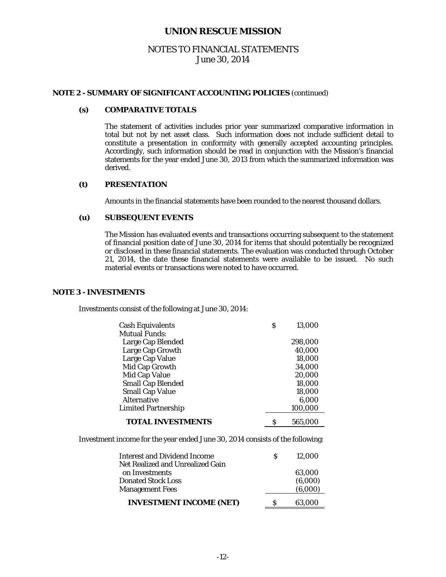# NOTES TO FINANCIAL STATEMENTS June 30, 2014

#### **NOTE 2 - SUMMARY OF SIGNIFICANT ACCOUNTING POLICIES** (continued)

#### **(s) COMPARATIVE TOTALS**

The statement of activities includes prior year summarized comparative information in total but not by net asset class. Such information does not include sufficient detail to constitute a presentation in conformity with generally accepted accounting principles. Accordingly, such information should be read in conjunction with the Mission's financial statements for the year ended June 30, 2013 from which the summarized information was derived.

#### **(t) PRESENTATION**

Amounts in the financial statements have been rounded to the nearest thousand dollars.

#### **(u) SUBSEQUENT EVENTS**

The Mission has evaluated events and transactions occurring subsequent to the statement of financial position date of June 30, 2014 for items that should potentially be recognized or disclosed in these financial statements. The evaluation was conducted through October 21, 2014, the date these financial statements were available to be issued. No such material events or transactions were noted to have occurred.

#### **NOTE 3 - INVESTMENTS**

Investments consist of the following at June 30, 2014:

| <b>Cash Equivalents</b><br><b>Mutual Funds:</b> | S | 13.000  |
|-------------------------------------------------|---|---------|
| Large Cap Blended                               |   | 298,000 |
| Large Cap Growth                                |   | 40,000  |
| Large Cap Value                                 |   | 18,000  |
| Mid Cap Growth                                  |   | 34,000  |
| Mid Cap Value                                   |   | 20,000  |
| <b>Small Cap Blended</b>                        |   | 18,000  |
| <b>Small Cap Value</b>                          |   | 18,000  |
| Alternative                                     |   | 6,000   |
| <b>Limited Partnership</b>                      |   | 100,000 |
| <b>TOTAL INVESTMENTS</b>                        |   | 565.000 |

Investment income for the year ended June 30, 2014 consists of the following:

| <b>Interest and Dividend Income</b>                 |   | 12.000             |
|-----------------------------------------------------|---|--------------------|
| Net Realized and Unrealized Gain<br>on Investments  |   | 63.000             |
| <b>Donated Stock Loss</b><br><b>Management Fees</b> |   | (6,000)<br>(6,000) |
| <b>INVESTMENT INCOME (NET)</b>                      | s | 63.000             |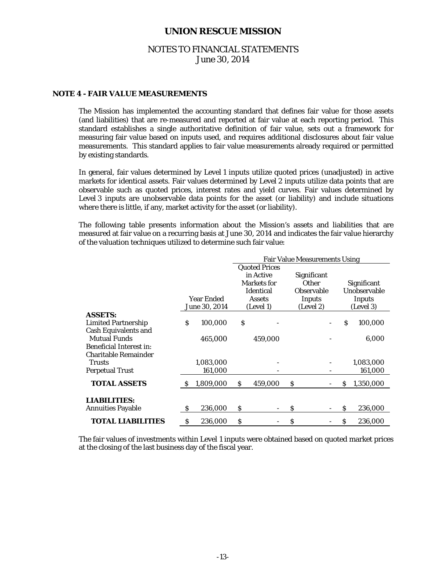# NOTES TO FINANCIAL STATEMENTS June 30, 2014

### **NOTE 4 - FAIR VALUE MEASUREMENTS**

 The Mission has implemented the accounting standard that defines fair value for those assets (and liabilities) that are re-measured and reported at fair value at each reporting period. This standard establishes a single authoritative definition of fair value, sets out a framework for measuring fair value based on inputs used, and requires additional disclosures about fair value measurements. This standard applies to fair value measurements already required or permitted by existing standards.

 In general, fair values determined by Level 1 inputs utilize quoted prices (unadjusted) in active markets for identical assets. Fair values determined by Level 2 inputs utilize data points that are observable such as quoted prices, interest rates and yield curves. Fair values determined by Level 3 inputs are unobservable data points for the asset (or liability) and include situations where there is little, if any, market activity for the asset (or liability).

 The following table presents information about the Mission's assets and liabilities that are measured at fair value on a recurring basis at June 30, 2014 and indicates the fair value hierarchy of the valuation techniques utilized to determine such fair value:

|                                 |    |               |    |                      | <b>Fair Value Measurements Using</b> |    |                    |
|---------------------------------|----|---------------|----|----------------------|--------------------------------------|----|--------------------|
|                                 |    |               |    | <b>Quoted Prices</b> |                                      |    |                    |
|                                 |    |               |    | in Active            | Significant                          |    |                    |
|                                 |    |               |    | <b>Markets</b> for   | <b>Other</b>                         |    | <b>Significant</b> |
|                                 |    |               |    | <b>Identical</b>     | Observable                           |    | Unobservable       |
|                                 |    | Year Ended    |    | <b>Assets</b>        | Inputs                               |    | Inputs             |
|                                 |    | June 30, 2014 |    | (Level 1)            | (Level 2)                            |    | (Level 3)          |
| <b>ASSETS:</b>                  |    |               |    |                      |                                      |    |                    |
| <b>Limited Partnership</b>      | S  | 100,000       | \$ |                      |                                      | \$ | 100,000            |
| <b>Cash Equivalents and</b>     |    |               |    |                      |                                      |    |                    |
| <b>Mutual Funds</b>             |    | 465,000       |    | 459,000              |                                      |    | 6,000              |
| <b>Beneficial Interest in:</b>  |    |               |    |                      |                                      |    |                    |
| <b>Charitable Remainder</b>     |    |               |    |                      |                                      |    |                    |
| <b>Trusts</b>                   |    | 1,083,000     |    |                      |                                      |    | 1,083,000          |
| <b>Perpetual Trust</b>          |    | 161,000       |    |                      |                                      |    | 161,000            |
| <b>TOTAL ASSETS</b>             | S  | 1,809,000     | S. | 459,000              | \$                                   | S  | 1,350,000          |
|                                 |    |               |    |                      |                                      |    |                    |
| <b>LIABILITIES:</b>             |    |               |    |                      |                                      |    |                    |
| <b>Annuities Payable</b>        | \$ | 236,000       | \$ |                      | \$                                   | Ś  | 236,000            |
| <i><b>TOTAL LIABILITIES</b></i> | \$ | 236,000       | \$ |                      | \$                                   | \$ | 236,000            |

The fair values of investments within Level 1 inputs were obtained based on quoted market prices at the closing of the last business day of the fiscal year.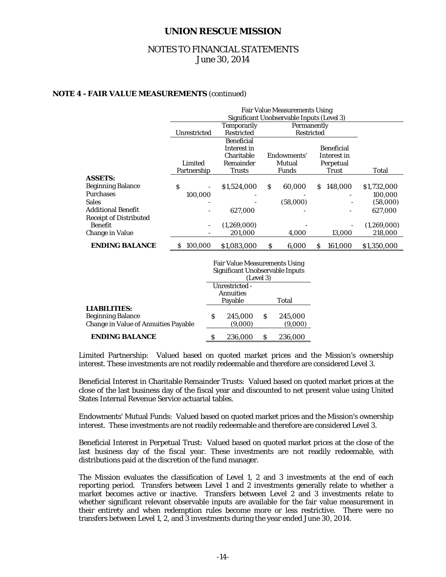# NOTES TO FINANCIAL STATEMENTS June 30, 2014

#### **NOTE 4 - FAIR VALUE MEASUREMENTS** (continued)

|                               |              | <b>Temporarily</b> | Significant Unobservable Inputs (Level 3)<br>Permanently |                   |             |
|-------------------------------|--------------|--------------------|----------------------------------------------------------|-------------------|-------------|
|                               | Unrestricted | <b>Restricted</b>  | Restricted                                               |                   |             |
|                               |              | <b>Beneficial</b>  |                                                          |                   |             |
|                               |              | Interest in        |                                                          | <b>Beneficial</b> |             |
|                               |              | Charitable         | Endowments'                                              | Interest in       |             |
|                               | Limited      | Remainder          | Mutual                                                   | Perpetual         |             |
|                               | Partnership  | <b>Trusts</b>      | <b>Funds</b>                                             | <b>Trust</b>      | Total       |
| <b>ASSETS:</b>                |              |                    |                                                          |                   |             |
| <b>Beginning Balance</b>      | S            | \$1,524,000        | <sub>S</sub><br>60.000                                   | 148.000<br>S      | \$1,732,000 |
| <b>Purchases</b>              | 100,000      |                    |                                                          |                   | 100,000     |
| <b>Sales</b>                  |              |                    | (58,000)                                                 |                   | (58,000)    |
| <b>Additional Benefit</b>     |              | 627,000            |                                                          |                   | 627,000     |
| <b>Receipt of Distributed</b> |              |                    |                                                          |                   |             |
| Benefit                       |              | (1,269,000)        |                                                          |                   | (1,269,000) |
| <b>Change in Value</b>        |              | 201,000            | 4,000                                                    | 13,000            | 218,000     |
| <b>ENDING BALANCE</b>         | 100,000      | \$1,083,000        | 6,000<br>S                                               | 161,000<br>S      | \$1,350,000 |

|                                                                                                |   | <b>Fair Value Measurements Using</b><br>Significant Unobservable Inputs<br>(Level 3) |   |                    |  |
|------------------------------------------------------------------------------------------------|---|--------------------------------------------------------------------------------------|---|--------------------|--|
|                                                                                                |   | Unrestricted -<br><b>Annuities</b><br>Payable                                        |   | Total              |  |
| <b>LIABILITIES:</b><br><b>Beginning Balance</b><br><b>Change in Value of Annuities Payable</b> |   | 245,000<br>(9,000)                                                                   | S | 245,000<br>(9,000) |  |
| ENDING BALANCE                                                                                 | S | 236,000                                                                              | S | 236,000            |  |

 Limited Partnership: Valued based on quoted market prices and the Mission's ownership interest. These investments are not readily redeemable and therefore are considered Level 3.

 Beneficial Interest in Charitable Remainder Trusts: Valued based on quoted market prices at the close of the last business day of the fiscal year and discounted to net present value using United States Internal Revenue Service actuarial tables.

 Endowments' Mutual Funds: Valued based on quoted market prices and the Mission's ownership interest. These investments are not readily redeemable and therefore are considered Level 3.

 Beneficial Interest in Perpetual Trust: Valued based on quoted market prices at the close of the last business day of the fiscal year. These investments are not readily redeemable, with distributions paid at the discretion of the fund manager.

The Mission evaluates the classification of Level 1, 2 and 3 investments at the end of each reporting period. Transfers between Level 1 and 2 investments generally relate to whether a market becomes active or inactive. Transfers between Level 2 and 3 investments relate to whether significant relevant observable inputs are available for the fair value measurement in their entirety and when redemption rules become more or less restrictive. There were no transfers between Level 1, 2, and 3 investments during the year ended June 30, 2014.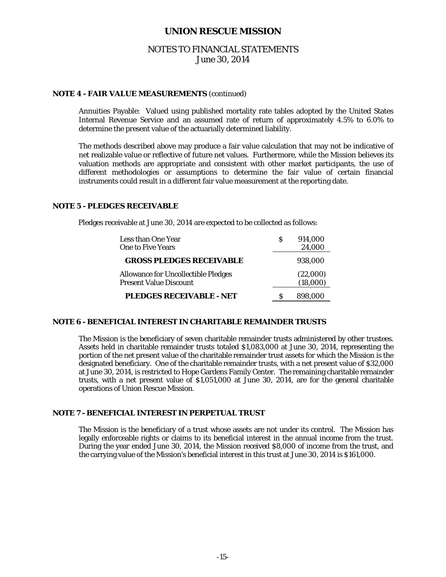# NOTES TO FINANCIAL STATEMENTS June 30, 2014

#### **NOTE 4 - FAIR VALUE MEASUREMENTS** (continued)

 Annuities Payable: Valued using published mortality rate tables adopted by the United States Internal Revenue Service and an assumed rate of return of approximately 4.5% to 6.0% to determine the present value of the actuarially determined liability.

 The methods described above may produce a fair value calculation that may not be indicative of net realizable value or reflective of future net values. Furthermore, while the Mission believes its valuation methods are appropriate and consistent with other market participants, the use of different methodologies or assumptions to determine the fair value of certain financial instruments could result in a different fair value measurement at the reporting date.

#### **NOTE 5 - PLEDGES RECEIVABLE**

Pledges receivable at June 30, 2014 are expected to be collected as follows:

| Less than One Year                                                          | 914,000              |
|-----------------------------------------------------------------------------|----------------------|
| <b>One to Five Years</b>                                                    | 24.000               |
| <b>GROSS PLEDGES RECEIVABLE</b>                                             | 938,000              |
| <b>Allowance for Uncollectible Pledges</b><br><b>Present Value Discount</b> | (22,000)<br>(18,000) |
| <b>PLEDGES RECEIVABLE - NET</b>                                             | 898,000              |

#### **NOTE 6 - BENEFICIAL INTEREST IN CHARITABLE REMAINDER TRUSTS**

The Mission is the beneficiary of seven charitable remainder trusts administered by other trustees. Assets held in charitable remainder trusts totaled \$1,083,000 at June 30, 2014, representing the portion of the net present value of the charitable remainder trust assets for which the Mission is the designated beneficiary. One of the charitable remainder trusts, with a net present value of \$32,000 at June 30, 2014, is restricted to Hope Gardens Family Center. The remaining charitable remainder trusts, with a net present value of \$1,051,000 at June 30, 2014, are for the general charitable operations of Union Rescue Mission.

### **NOTE 7 - BENEFICIAL INTEREST IN PERPETUAL TRUST**

The Mission is the beneficiary of a trust whose assets are not under its control. The Mission has legally enforceable rights or claims to its beneficial interest in the annual income from the trust. During the year ended June 30, 2014, the Mission received \$8,000 of income from the trust, and the carrying value of the Mission's beneficial interest in this trust at June 30, 2014 is \$161,000.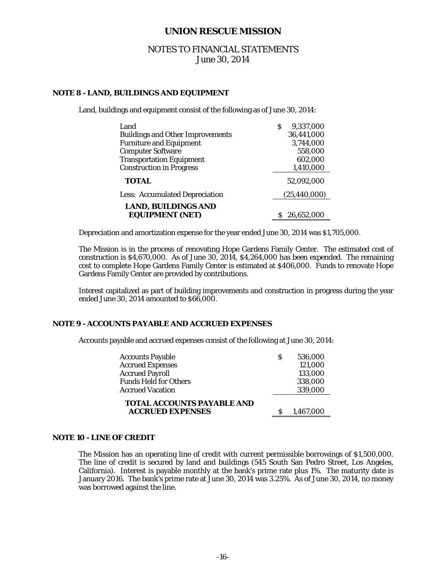# NOTES TO FINANCIAL STATEMENTS June 30, 2014

#### **NOTE 8 - LAND, BUILDINGS AND EQUIPMENT**

Land, buildings and equipment consist of the following as of June 30, 2014:

| Land                                                 | 9,337,000<br>S |
|------------------------------------------------------|----------------|
| <b>Buildings and Other Improvements</b>              | 36,441,000     |
| <b>Furniture and Equipment</b>                       | 3,744,000      |
| <b>Computer Software</b>                             | 558,000        |
| <b>Transportation Equipment</b>                      | 602,000        |
| <b>Construction in Progress</b>                      | 1,410,000      |
| <b>TOTAL</b>                                         | 52,092,000     |
| <b>Less: Accumulated Depreciation</b>                | (25, 440, 000) |
| <b>LAND, BUILDINGS AND</b><br><b>EQUIPMENT (NET)</b> | 26,652,000     |

Depreciation and amortization expense for the year ended June 30, 2014 was \$1,705,000.

The Mission is in the process of renovating Hope Gardens Family Center. The estimated cost of construction is \$4,670,000. As of June 30, 2014, \$4,264,000 has been expended. The remaining cost to complete Hope Gardens Family Center is estimated at \$406,000. Funds to renovate Hope Gardens Family Center are provided by contributions.

Interest capitalized as part of building improvements and construction in progress during the year ended June 30, 2014 amounted to \$66,000.

#### **NOTE 9 - ACCOUNTS PAYABLE AND ACCRUED EXPENSES**

Accounts payable and accrued expenses consist of the following at June 30, 2014:

| <b>TOTAL ACCOUNTS PAYABLE AND</b><br><b>ACCRUED EXPENSES</b> | 1,467,000 |
|--------------------------------------------------------------|-----------|
| <b>Accrued Vacation</b>                                      | 339,000   |
| <b>Funds Held for Others</b>                                 | 338,000   |
| <b>Accrued Payroll</b>                                       | 133,000   |
| <b>Accrued Expenses</b>                                      | 121,000   |
| <b>Accounts Payable</b>                                      | 536,000   |

#### **NOTE 10 - LINE OF CREDIT**

 The Mission has an operating line of credit with current permissible borrowings of \$1,500,000. The line of credit is secured by land and buildings (545 South San Pedro Street, Los Angeles, California). Interest is payable monthly at the bank's prime rate plus 1%. The maturity date is January 2016. The bank's prime rate at June 30, 2014 was 3.25%. As of June 30, 2014, no money was borrowed against the line.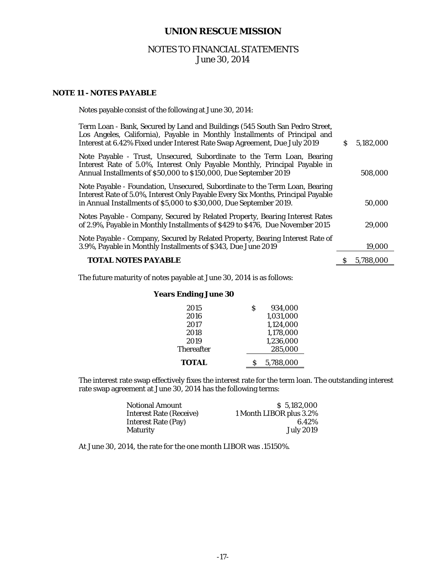# NOTES TO FINANCIAL STATEMENTS June 30, 2014

### **NOTE 11 - NOTES PAYABLE**

| Term Loan - Bank, Secured by Land and Buildings (545 South San Pedro Street,<br>Los Angeles, California), Payable in Monthly Installments of Principal and<br>Interest at 6.42% Fixed under Interest Rate Swap Agreement, Due July 2019 | S. | 5.182,000 |
|-----------------------------------------------------------------------------------------------------------------------------------------------------------------------------------------------------------------------------------------|----|-----------|
| Note Payable - Trust, Unsecured, Subordinate to the Term Loan, Bearing<br>Interest Rate of 5.0%, Interest Only Payable Monthly, Principal Payable in<br>Annual Installments of \$50,000 to \$150,000, Due September 2019                |    | 508,000   |
| Note Payable - Foundation, Unsecured, Subordinate to the Term Loan, Bearing<br>Interest Rate of 5.0%, Interest Only Payable Every Six Months, Principal Payable<br>in Annual Installments of \$5,000 to \$30,000, Due September 2019.   |    | 50,000    |
| Notes Payable - Company, Secured by Related Property, Bearing Interest Rates<br>of 2.9%, Payable in Monthly Installments of \$429 to \$476, Due November 2015                                                                           |    | 29,000    |
| Note Payable - Company, Secured by Related Property, Bearing Interest Rate of<br>3.9%, Payable in Monthly Installments of \$343, Due June 2019                                                                                          |    | 19,000    |
| <b>TOTAL NOTES PAYABLE</b>                                                                                                                                                                                                              |    | 5,788,000 |
|                                                                                                                                                                                                                                         |    |           |

The future maturity of notes payable at June 30, 2014 is as follows:

Notes payable consist of the following at June 30, 2014:

# **Years Ending June 30**

| 2015              | S | 934.000   |
|-------------------|---|-----------|
| 2016              |   | 1,031,000 |
| 2017              |   | 1,124,000 |
| 2018              |   | 1,178,000 |
| 2019              |   | 1,236,000 |
| <b>Thereafter</b> |   | 285,000   |
| TOTAL             |   | 5,788,000 |

The interest rate swap effectively fixes the interest rate for the term loan. The outstanding interest rate swap agreement at June 30, 2014 has the following terms:

| Notional Amount            | \$ 5.182,000            |
|----------------------------|-------------------------|
| Interest Rate (Receive)    | 1 Month LIBOR plus 3.2% |
| <b>Interest Rate (Pay)</b> | 6.42%                   |
| Maturity                   | <b>July 2019</b>        |

At June 30, 2014, the rate for the one month LIBOR was .15150%.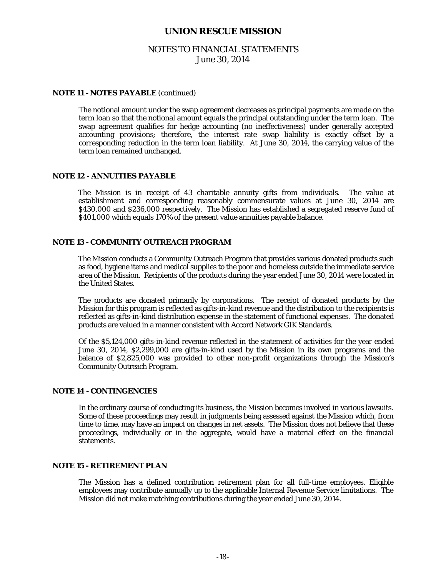# NOTES TO FINANCIAL STATEMENTS June 30, 2014

#### **NOTE 11 - NOTES PAYABLE** (continued)

The notional amount under the swap agreement decreases as principal payments are made on the term loan so that the notional amount equals the principal outstanding under the term loan. The swap agreement qualifies for hedge accounting (no ineffectiveness) under generally accepted accounting provisions; therefore, the interest rate swap liability is exactly offset by a corresponding reduction in the term loan liability. At June 30, 2014, the carrying value of the term loan remained unchanged.

#### **NOTE 12 - ANNUITIES PAYABLE**

 The Mission is in receipt of 43 charitable annuity gifts from individuals. The value at establishment and corresponding reasonably commensurate values at June 30, 2014 are \$430,000 and \$236,000 respectively. The Mission has established a segregated reserve fund of \$401,000 which equals 170% of the present value annuities payable balance.

#### **NOTE 13 - COMMUNITY OUTREACH PROGRAM**

The Mission conducts a Community Outreach Program that provides various donated products such as food, hygiene items and medical supplies to the poor and homeless outside the immediate service area of the Mission. Recipients of the products during the year ended June 30, 2014 were located in the United States.

 The products are donated primarily by corporations. The receipt of donated products by the Mission for this program is reflected as gifts-in-kind revenue and the distribution to the recipients is reflected as gifts-in-kind distribution expense in the statement of functional expenses. The donated products are valued in a manner consistent with Accord Network GIK Standards.

 Of the \$5,124,000 gifts-in-kind revenue reflected in the statement of activities for the year ended June 30, 2014, \$2,299,000 are gifts-in-kind used by the Mission in its own programs and the balance of \$2,825,000 was provided to other non-profit organizations through the Mission's Community Outreach Program.

#### **NOTE 14 - CONTINGENCIES**

 In the ordinary course of conducting its business, the Mission becomes involved in various lawsuits. Some of these proceedings may result in judgments being assessed against the Mission which, from time to time, may have an impact on changes in net assets. The Mission does not believe that these proceedings, individually or in the aggregate, would have a material effect on the financial statements.

#### **NOTE 15 - RETIREMENT PLAN**

 The Mission has a defined contribution retirement plan for all full-time employees. Eligible employees may contribute annually up to the applicable Internal Revenue Service limitations. The Mission did not make matching contributions during the year ended June 30, 2014.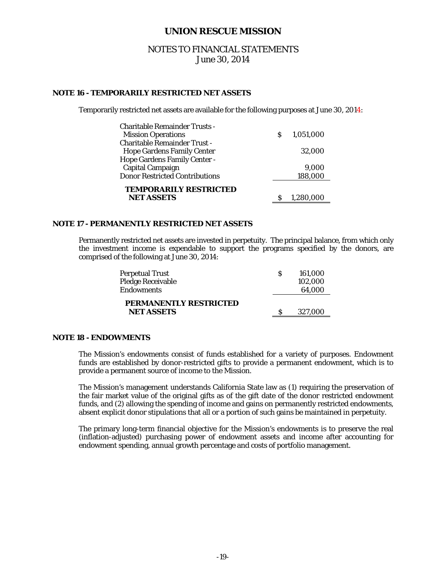# NOTES TO FINANCIAL STATEMENTS June 30, 2014

#### **NOTE 16 - TEMPORARILY RESTRICTED NET ASSETS**

Temporarily restricted net assets are available for the following purposes at June 30, 2014:

| <b>Charitable Remainder Trusts -</b>               |   |           |
|----------------------------------------------------|---|-----------|
| <b>Mission Operations</b>                          | S | 1,051,000 |
| <b>Charitable Remainder Trust -</b>                |   |           |
| <b>Hope Gardens Family Center</b>                  |   | 32.000    |
| Hope Gardens Family Center -                       |   |           |
| Capital Campaign                                   |   | 9,000     |
| <b>Donor Restricted Contributions</b>              |   | 188,000   |
| <b>TEMPORARILY RESTRICTED</b><br><b>NET ASSETS</b> |   | 1.280.000 |
|                                                    |   |           |

#### **NOTE 17 - PERMANENTLY RESTRICTED NET ASSETS**

 Permanently restricted net assets are invested in perpetuity. The principal balance, from which only the investment income is expendable to support the programs specified by the donors, are comprised of the following at June 30, 2014:

| Perpetual Trust                             | S | 161.000 |
|---------------------------------------------|---|---------|
| Pledge Receivable                           |   | 102.000 |
| <b>Endowments</b>                           |   | 64.000  |
| PERMANENTLY RESTRICTED<br><b>NET ASSETS</b> |   | 327,000 |

#### **NOTE 18 - ENDOWMENTS**

The Mission's endowments consist of funds established for a variety of purposes. Endowment funds are established by donor-restricted gifts to provide a permanent endowment, which is to provide a permanent source of income to the Mission.

The Mission's management understands California State law as (1) requiring the preservation of the fair market value of the original gifts as of the gift date of the donor restricted endowment funds, and (2) allowing the spending of income and gains on permanently restricted endowments, absent explicit donor stipulations that all or a portion of such gains be maintained in perpetuity.

The primary long-term financial objective for the Mission's endowments is to preserve the real (inflation-adjusted) purchasing power of endowment assets and income after accounting for endowment spending, annual growth percentage and costs of portfolio management.